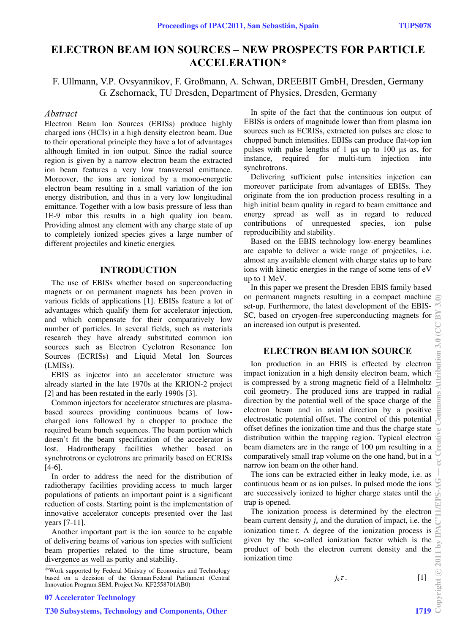# **ELECTRON BEAM ION SOURCES – NEW PROSPECTS FOR PARTICLE ACCELERATION\***

F. Ullmann, V.P. Ovsyannikov, F. Großmann, A. Schwan, DREEBIT GmbH, Dresden, Germany G. Zschornack, TU Dresden, Department of Physics, Dresden, Germany

#### *Abstract*

Electron Beam Ion Sources (EBISs) produce highly charged ions (HCIs) in a high density electron beam. Due to their operational principle they have a lot of advantages although limited in ion output. Since the radial source region is given by a narrow electron beam the extracted ion beam features a very low transversal emittance. Moreover, the ions are ionized by a mono-energetic electron beam resulting in a small variation of the ion energy distribution, and thus in a very low longitudinal emittance. Together with a low basis pressure of less than 1E-9 mbar this results in a high quality ion beam. Providing almost any element with any charge state of up to completely ionized species gives a large number of different projectiles and kinetic energies.

#### **INTRODUCTION**

The use of EBISs whether based on superconducting magnets or on permanent magnets has been proven in various fields of applications [1]. EBISs feature a lot of advantages which qualify them for accelerator injection, and which compensate for their comparatively low number of particles. In several fields, such as materials research they have already substituted common ion sources such as Electron Cyclotron Resonance Ion Sources (ECRISs) and Liquid Metal Ion Sources (LMISs).

EBIS as injector into an accelerator structure was already started in the late 1970s at the KRION-2 project [2] and has been restated in the early 1990s [3].

Common injectors for accelerator structures are plasmabased sources providing continuous beams of lowcharged ions followed by a chopper to produce the required beam bunch sequences. The beam portion which doesn't fit the beam specification of the accelerator is lost. Hadrontherapy facilities whether based on synchrotrons or cyclotrons are primarily based on ECRISs [4-6].

In order to address the need for the distribution of radiotherapy facilities providing access to much larger populations of patients an important point is a significant reduction of costs. Starting point is the implementation of innovative accelerator concepts presented over the last years [7-11].

Another important part is the ion source to be capable of delivering beams of various ion species with sufficient beam properties related to the time structure, beam divergence as well as purity and stability.

In spite of the fact that the continuous ion output of EBISs is orders of magnitude lower than from plasma ion sources such as ECRISs, extracted ion pulses are close to chopped bunch intensities. EBISs can produce flat-top ion pulses with pulse lengths of 1 µs up to 100 µs as, for instance, required for multi-turn injection into synchrotrons.

Delivering sufficient pulse intensities injection can moreover participate from advantages of EBISs. They originate from the ion production process resulting in a high initial beam quality in regard to beam emittance and energy spread as well as in regard to reduced contributions of unrequested species, ion pulse reproducibility and stability.

Based on the EBIS technology low-energy beamlines are capable to deliver a wide range of projectiles, i.e. almost any available element with charge states up to bare ions with kinetic energies in the range of some tens of eV up to 1 MeV.

In this paper we present the Dresden EBIS family based on permanent magnets resulting in a compact machine  $\epsilon$ set-up. Furthermore, the latest development of the EBIS-SC, based on cryogen-free superconducting magnets for an increased ion output is presented.

## **ELECTRON BEAM ION SOURCE**

Ion production in an EBIS is effected by electron impact ionization in a high density electron beam, which is compressed by a strong magnetic field of a Helmholtz coil geometry. The produced ions are trapped in radial direction by the potential well of the space charge of the electron beam and in axial direction by a positive electrostatic potential offset. The control of this potential offset defines the ionization time and thus the charge state distribution within the trapping region. Typical electron beam diameters are in the range of 100 µm resulting in a comparatively small trap volume on the one hand, but in a narrow ion beam on the other hand.

The ions can be extracted either in leaky mode, i.e. as continuous beam or as ion pulses. In pulsed mode the ions are successively ionized to higher charge states until the trap is opened.

The ionization process is determined by the electron beam current density  $j_e$  and the duration of impact, i.e. the ionization time $\tau$ . A degree of the ionization process is given by the so-called ionization factor which is the product of both the electron current density and the ionization time<br>ionization time<br> $j_e \tau$ . [1] product of both the electron current density and the ionization time

 $j_e \tau$ . [1]

07 Accelerator Technology

<sup>\*</sup>Work supported by Federal Ministry of Economics and Technology based on a decision of the German Federal Parliament (Central Innovation Program SEM, Project No. KF2558701AB0)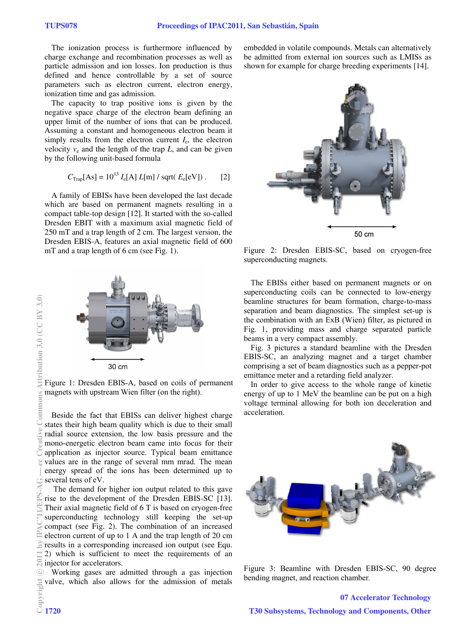The ionization process is furthermore influenced by charge exchange and recombination processes as well as particle admission and ion losses. Ion production is thus defined and hence controllable by a set of source parameters such as electron current, electron energy, ionization time and gas admission.

The capacity to trap positive ions is given by the negative space charge of the electron beam defining an upper limit of the number of ions that can be produced. Assuming a constant and homogeneous electron beam it simply results from the electron current  $I_{\rm e}$ , the electron velocity  $v_e$  and the length of the trap  $L$ , and can be given by the following unit-based formula

$$
C_{\text{Trap}}[\text{As}] = 10^{13} I_{\text{e}}[\text{A}] L[\text{m}] / \text{sqrt}(E_{\text{e}}[\text{eV}]). \qquad [2]
$$

A family of EBISs have been developed the last decade which are based on permanent magnets resulting in a compact table-top design [12]. It started with the so-called Dresden EBIT with a maximum axial magnetic field of 250 mT and a trap length of 2 cm. The largest version, the Dresden EBIS-A, features an axial magnetic field of 600 mT and a trap length of 6 cm (see Fig. 1).



Figure 1: Dresden EBIS-A, based on coils of permanent magnets with upstream Wien filter (on the right).

Beside the fact that EBISs can deliver highest charge states their high beam quality which is due to their small radial source extension, the low basis pressure and the mono-energetic electron beam came into focus for their  $\overline{C}$  application as injector source. Typical beam emittance values are in the range of several mm mrad. The mean energy spread of the ions has been determined up to several tens of eV.

 The demand for higher ion output related to this gave rise to the development of the Dresden EBIS-SC [13]. Their axial magnetic field of 6 T is based on cryogen-free superconducting technology still keeping the set-up compact (see Fig. 2). The combination of an increased electron current of up to 1 A and the trap length of 20 cm results in a corresponding increased ion output (see Equ. 2) which is sufficient to meet the requirements of an  $\mathbb{\overline{S}}$  injector for accelerators.

Working gases are admitted through a gas injection valve, which also allows for the admission of metals embedded in volatile compounds. Metals can alternatively be admitted from external ion sources such as LMISs as shown for example for charge breeding experiments [14].



Figure 2: Dresden EBIS-SC, based on cryogen-free superconducting magnets.

The EBISs either based on permanent magnets or on superconducting coils can be connected to low-energy beamline structures for beam formation, charge-to-mass separation and beam diagnostics. The simplest set-up is the combination with an ExB (Wien) filter, as pictured in Fig. 1, providing mass and charge separated particle beams in a very compact assembly.

Fig. 3 pictures a standard beamline with the Dresden EBIS-SC, an analyzing magnet and a target chamber comprising a set of beam diagnostics such as a pepper-pot emittance meter and a retarding field analyzer.

In order to give access to the whole range of kinetic energy of up to 1 MeV the beamline can be put on a high voltage terminal allowing for both ion deceleration and acceleration.



Figure 3: Beamline with Dresden EBIS-SC, 90 degree bending magnet, and reaction chamber.

07 Accelerator Technology T30 Subsystems, Technology and Components, Other